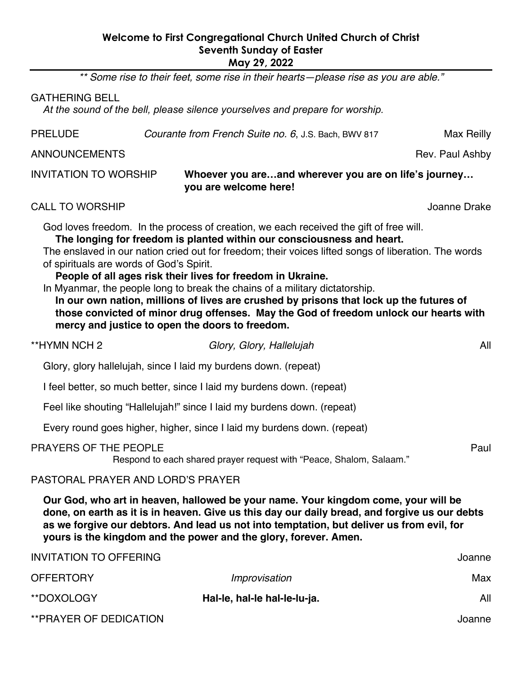# **Welcome to First Congregational Church United Church of Christ Seventh Sunday of Easter May 29, 2022**

*\*\* Some rise to their feet, some rise in their hearts—please rise as you are able."*

### GATHERING BELL

*At the sound of the bell, please silence yourselves and prepare for worship.*

| <b>PRELUDE</b>                                                                                                                                                                                                                                                                                                                                                                                                                                                                                                                                                                                                                                                                                            | Courante from French Suite no. 6, J.S. Bach, BWV 817                           | Max Reilly      |  |
|-----------------------------------------------------------------------------------------------------------------------------------------------------------------------------------------------------------------------------------------------------------------------------------------------------------------------------------------------------------------------------------------------------------------------------------------------------------------------------------------------------------------------------------------------------------------------------------------------------------------------------------------------------------------------------------------------------------|--------------------------------------------------------------------------------|-----------------|--|
| <b>ANNOUNCEMENTS</b>                                                                                                                                                                                                                                                                                                                                                                                                                                                                                                                                                                                                                                                                                      |                                                                                | Rev. Paul Ashby |  |
| <b>INVITATION TO WORSHIP</b>                                                                                                                                                                                                                                                                                                                                                                                                                                                                                                                                                                                                                                                                              | Whoever you areand wherever you are on life's journey<br>you are welcome here! |                 |  |
| <b>CALL TO WORSHIP</b>                                                                                                                                                                                                                                                                                                                                                                                                                                                                                                                                                                                                                                                                                    |                                                                                | Joanne Drake    |  |
| God loves freedom. In the process of creation, we each received the gift of free will.<br>The longing for freedom is planted within our consciousness and heart.<br>The enslaved in our nation cried out for freedom; their voices lifted songs of liberation. The words<br>of spirituals are words of God's Spirit.<br>People of all ages risk their lives for freedom in Ukraine.<br>In Myanmar, the people long to break the chains of a military dictatorship.<br>In our own nation, millions of lives are crushed by prisons that lock up the futures of<br>those convicted of minor drug offenses. May the God of freedom unlock our hearts with<br>mercy and justice to open the doors to freedom. |                                                                                |                 |  |
| **HYMN NCH 2                                                                                                                                                                                                                                                                                                                                                                                                                                                                                                                                                                                                                                                                                              | Glory, Glory, Hallelujah                                                       | All             |  |
|                                                                                                                                                                                                                                                                                                                                                                                                                                                                                                                                                                                                                                                                                                           | Glory, glory hallelujah, since I laid my burdens down. (repeat)                |                 |  |
| I feel better, so much better, since I laid my burdens down. (repeat)                                                                                                                                                                                                                                                                                                                                                                                                                                                                                                                                                                                                                                     |                                                                                |                 |  |
| Feel like shouting "Hallelujah!" since I laid my burdens down. (repeat)                                                                                                                                                                                                                                                                                                                                                                                                                                                                                                                                                                                                                                   |                                                                                |                 |  |
|                                                                                                                                                                                                                                                                                                                                                                                                                                                                                                                                                                                                                                                                                                           | Every round goes higher, higher, since I laid my burdens down. (repeat)        |                 |  |
| <b>PRAYERS OF THE PEOPLE</b>                                                                                                                                                                                                                                                                                                                                                                                                                                                                                                                                                                                                                                                                              | Respond to each shared prayer request with "Peace, Shalom, Salaam."            | Paul            |  |
| <b>PASTORAL PRAYER AND LORD'S PRAYER</b>                                                                                                                                                                                                                                                                                                                                                                                                                                                                                                                                                                                                                                                                  |                                                                                |                 |  |
| Our God, who art in heaven, hallowed be your name. Your kingdom come, your will be<br>done, on earth as it is in heaven. Give us this day our daily bread, and forgive us our debts<br>as we forgive our debtors. And lead us not into temptation, but deliver us from evil, for<br>yours is the kingdom and the power and the glory, forever. Amen.                                                                                                                                                                                                                                                                                                                                                      |                                                                                |                 |  |
| <b>INVITATION TO OFFERING</b>                                                                                                                                                                                                                                                                                                                                                                                                                                                                                                                                                                                                                                                                             |                                                                                | Joanne          |  |
| <b>OFFERTORY</b>                                                                                                                                                                                                                                                                                                                                                                                                                                                                                                                                                                                                                                                                                          | Improvisation                                                                  | Max             |  |
| **DOXOLOGY                                                                                                                                                                                                                                                                                                                                                                                                                                                                                                                                                                                                                                                                                                | Hal-le, hal-le hal-le-lu-ja.                                                   | All             |  |

\*\*PRAYER OF DEDICATION Joanne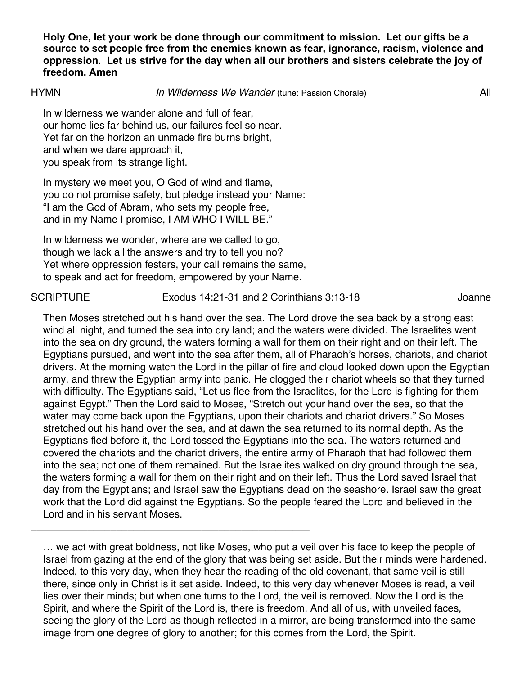**Holy One, let your work be done through our commitment to mission. Let our gifts be a source to set people free from the enemies known as fear, ignorance, racism, violence and oppression. Let us strive for the day when all our brothers and sisters celebrate the joy of freedom. Amen**

**In** *Wilderness We Wander* (tune: Passion Chorale) *All* All

In wilderness we wander alone and full of fear, our home lies far behind us, our failures feel so near. Yet far on the horizon an unmade fire burns bright, and when we dare approach it, you speak from its strange light.

In mystery we meet you, O God of wind and flame, you do not promise safety, but pledge instead your Name: "I am the God of Abram, who sets my people free, and in my Name I promise, I AM WHO I WILL BE."

In wilderness we wonder, where are we called to go, though we lack all the answers and try to tell you no? Yet where oppression festers, your call remains the same, to speak and act for freedom, empowered by your Name.

\_\_\_\_\_\_\_\_\_\_\_\_\_\_\_\_\_\_\_\_\_\_\_\_\_\_\_\_\_\_\_\_\_\_\_\_\_\_\_\_\_\_\_\_\_\_\_\_\_

SCRIPTURE Exodus 14:21-31 and 2 Corinthians 3:13-18 Joanne

Then Moses stretched out his hand over the sea. The Lord drove the sea back by a strong east wind all night, and turned the sea into dry land; and the waters were divided. The Israelites went into the sea on dry ground, the waters forming a wall for them on their right and on their left. The Egyptians pursued, and went into the sea after them, all of Pharaoh's horses, chariots, and chariot drivers. At the morning watch the Lord in the pillar of fire and cloud looked down upon the Egyptian army, and threw the Egyptian army into panic. He clogged their chariot wheels so that they turned with difficulty. The Egyptians said, "Let us flee from the Israelites, for the Lord is fighting for them against Egypt." Then the Lord said to Moses, "Stretch out your hand over the sea, so that the water may come back upon the Egyptians, upon their chariots and chariot drivers." So Moses stretched out his hand over the sea, and at dawn the sea returned to its normal depth. As the Egyptians fled before it, the Lord tossed the Egyptians into the sea. The waters returned and covered the chariots and the chariot drivers, the entire army of Pharaoh that had followed them into the sea; not one of them remained. But the Israelites walked on dry ground through the sea, the waters forming a wall for them on their right and on their left. Thus the Lord saved Israel that day from the Egyptians; and Israel saw the Egyptians dead on the seashore. Israel saw the great work that the Lord did against the Egyptians. So the people feared the Lord and believed in the Lord and in his servant Moses.

… we act with great boldness, not like Moses, who put a veil over his face to keep the people of Israel from gazing at the end of the glory that was being set aside. But their minds were hardened. Indeed, to this very day, when they hear the reading of the old covenant, that same veil is still there, since only in Christ is it set aside. Indeed, to this very day whenever Moses is read, a veil lies over their minds; but when one turns to the Lord, the veil is removed. Now the Lord is the Spirit, and where the Spirit of the Lord is, there is freedom. And all of us, with unveiled faces, seeing the glory of the Lord as though reflected in a mirror, are being transformed into the same image from one degree of glory to another; for this comes from the Lord, the Spirit.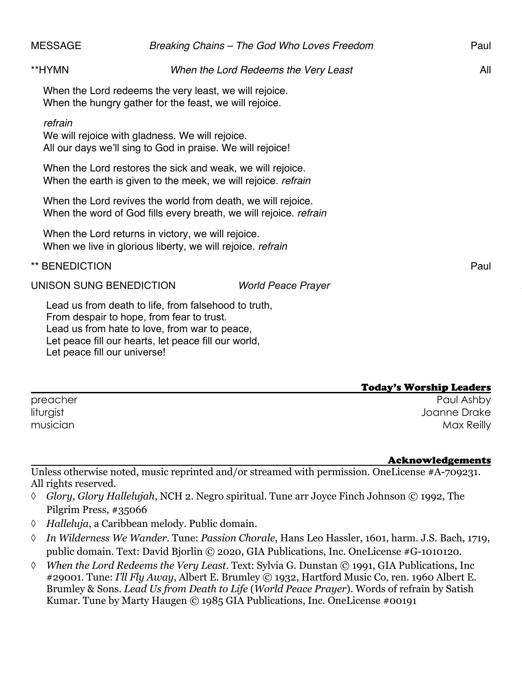| <b>MESSAGE</b>                                                                                                                                                                                                                             | Breaking Chains - The God Who Loves Freedom | Paul |
|--------------------------------------------------------------------------------------------------------------------------------------------------------------------------------------------------------------------------------------------|---------------------------------------------|------|
| **HYMN                                                                                                                                                                                                                                     | When the Lord Redeems the Very Least        | All  |
| When the Lord redeems the very least, we will rejoice.<br>When the hungry gather for the feast, we will rejoice.                                                                                                                           |                                             |      |
| refrain<br>We will rejoice with gladness. We will rejoice.<br>All our days we'll sing to God in praise. We will rejoice!                                                                                                                   |                                             |      |
| When the Lord restores the sick and weak, we will rejoice.<br>When the earth is given to the meek, we will rejoice. refrain                                                                                                                |                                             |      |
| When the Lord revives the world from death, we will rejoice.<br>When the word of God fills every breath, we will rejoice. <i>refrain</i>                                                                                                   |                                             |      |
| When the Lord returns in victory, we will rejoice.<br>When we live in glorious liberty, we will rejoice. refrain                                                                                                                           |                                             |      |
| <b>** BENEDICTION</b>                                                                                                                                                                                                                      |                                             | Paul |
| UNISON SUNG BENEDICTION                                                                                                                                                                                                                    | <b>World Peace Prayer</b>                   |      |
| Lead us from death to life, from falsehood to truth,<br>From despair to hope, from fear to trust.<br>Lead us from hate to love, from war to peace,<br>Let peace fill our hearts, let peace fill our world,<br>Let peace fill our universe! |                                             |      |

|           | <b>Today's Worship Leaders</b> |
|-----------|--------------------------------|
| preacher  | Paul Ashby                     |
| liturgist | Joanne Drake                   |
| musician  | Max Reilly                     |
|           |                                |

#### Acknowledgements

Unless otherwise noted, music reprinted and/or streamed with permission. OneLicense #A-709231. All rights reserved.

- à *Glory, Glory Hallelujah*, NCH 2. Negro spiritual. Tune arr Joyce Finch Johnson © 1992, The Pilgrim Press, #35066
- à *Halleluja*, a Caribbean melody. Public domain.
- à *In Wilderness We Wander.* Tune: *Passion Chorale*, Hans Leo Hassler, 1601, harm. J.S. Bach, 1719, public domain. Text: David Bjorlin © 2020, GIA Publications, Inc. OneLicense #G-1010120.
- à *When the Lord Redeems the Very Least*. Text: Sylvia G. Dunstan © 1991, GIA Publications, Inc #29001. Tune: *I'll Fly Away*, Albert E. Brumley © 1932, Hartford Music Co, ren. 1960 Albert E. Brumley & Sons. *Lead Us from Death to Life* (*World Peace Prayer*). Words of refrain by Satish Kumar. Tune by Marty Haugen © 1985 GIA Publications, Inc. OneLicense #00191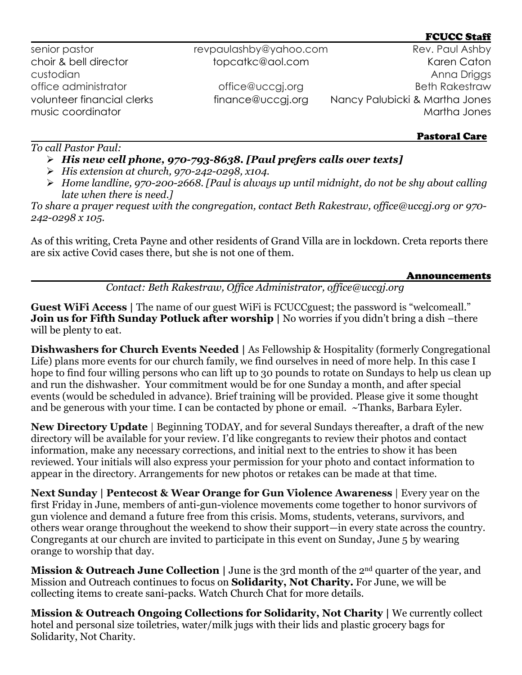|  |  | <b>FCUCC Staff</b> |
|--|--|--------------------|
|  |  |                    |

senior pastor revpaulashby@yahoo.com Rev. Paul Ashby choir & bell director topcatkc@aol.com books when Caton custodian Anna Driggs office administrator and the office@uccqi.org beth Rakestraw volunteer financial clerks finance@uccgj.org Nancy Palubicki & Martha Jones music coordinator Martha Jones (Martha Jones Martha Jones Martha Jones Martha Jones Martha Jones Martha Jones

*To call Pastor Paul:*

- Ø *His new cell phone, 970-793-8638. [Paul prefers calls over texts]*
- Ø *His extension at church, 970-242-0298, x104.*
- Ø *Home landline, 970-200-2668. [Paul is always up until midnight, do not be shy about calling late when there is need.]*

*To share a prayer request with the congregation, contact Beth Rakestraw, office@uccgj.org or 970- 242-0298 x 105.*

As of this writing, Creta Payne and other residents of Grand Villa are in lockdown. Creta reports there are six active Covid cases there, but she is not one of them.

# Announcements

*Contact: Beth Rakestraw, Office Administrator, office@uccgj.org*

**Guest WiFi Access** | The name of our guest WiFi is FCUCC guest; the password is "welcomeall." **Join us for Fifth Sunday Potluck after worship |** No worries if you didn't bring a dish –there will be plenty to eat.

**Dishwashers for Church Events Needed** | As Fellowship & Hospitality (formerly Congregational Life) plans more events for our church family, we find ourselves in need of more help. In this case I hope to find four willing persons who can lift up to 30 pounds to rotate on Sundays to help us clean up and run the dishwasher. Your commitment would be for one Sunday a month, and after special events (would be scheduled in advance). Brief training will be provided. Please give it some thought and be generous with your time. I can be contacted by phone or email. ~Thanks, Barbara Eyler.

**New Directory Update** | Beginning TODAY, and for several Sundays thereafter, a draft of the new directory will be available for your review. I'd like congregants to review their photos and contact information, make any necessary corrections, and initial next to the entries to show it has been reviewed. Your initials will also express your permission for your photo and contact information to appear in the directory. Arrangements for new photos or retakes can be made at that time.

**Next Sunday | Pentecost & Wear Orange for Gun Violence Awareness** | Every year on the first Friday in June, members of anti-gun-violence movements come together to honor survivors of gun violence and demand a future free from this crisis. Moms, students, veterans, survivors, and others wear orange throughout the weekend to show their support—in every state across the country. Congregants at our church are invited to participate in this event on Sunday, June 5 by wearing orange to worship that day.

**Mission & Outreach June Collection** | June is the 3rd month of the 2<sup>nd</sup> quarter of the year, and Mission and Outreach continues to focus on **Solidarity, Not Charity.** For June, we will be collecting items to create sani-packs. Watch Church Chat for more details.

**Mission & Outreach Ongoing Collections for Solidarity, Not Charity | We currently collect** hotel and personal size toiletries, water/milk jugs with their lids and plastic grocery bags for Solidarity, Not Charity.

# Pastoral Care